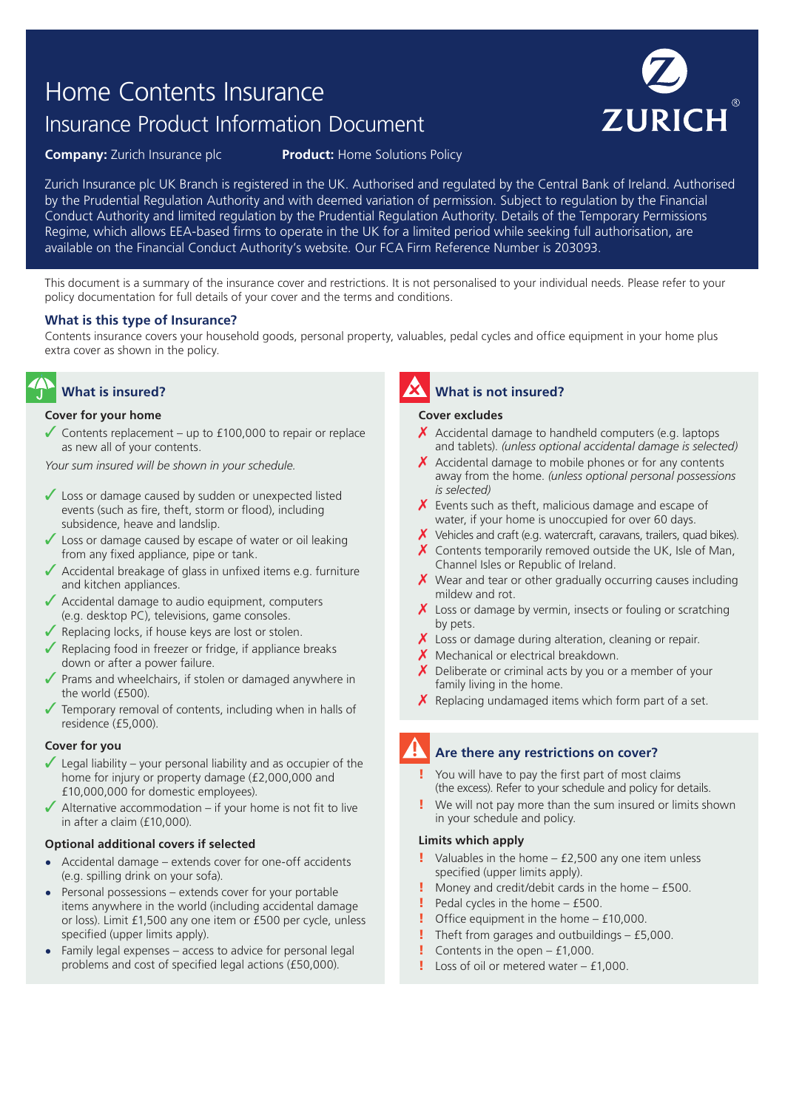# Home Contents Insurance Insurance Product Information Document



**Company:** Zurich Insurance plc **Product:** Home Solutions Policy

Zurich Insurance plc UK Branch is registered in the UK. Authorised and regulated by the Central Bank of Ireland. Authorised by the Prudential Regulation Authority and with deemed variation of permission. Subject to regulation by the Financial Conduct Authority and limited regulation by the Prudential Regulation Authority. Details of the Temporary Permissions Regime, which allows EEA-based firms to operate in the UK for a limited period while seeking full authorisation, are available on the Financial Conduct Authority's website. Our FCA Firm Reference Number is 203093.

This document is a summary of the insurance cover and restrictions. It is not personalised to your individual needs. Please refer to your policy documentation for full details of your cover and the terms and conditions.

#### **What is this type of Insurance?**

Contents insurance covers your household goods, personal property, valuables, pedal cycles and office equipment in your home plus extra cover as shown in the policy.

## **What is insured?**

#### **Cover for your home**

 $\sqrt{\frac{2}{10}}$  Contents replacement – up to £100,000 to repair or replace as new all of your contents.

*Your sum insured will be shown in your schedule.*

- ✓ Loss or damage caused by sudden or unexpected listed events (such as fire, theft, storm or flood), including subsidence, heave and landslip.
- ✓ Loss or damage caused by escape of water or oil leaking from any fixed appliance, pipe or tank.
- ✓ Accidental breakage of glass in unfixed items e.g. furniture and kitchen appliances.
- ✓ Accidental damage to audio equipment, computers (e.g. desktop PC), televisions, game consoles.
- $\sqrt{\ }$  Replacing locks, if house keys are lost or stolen.
- $\sqrt{\ }$  Replacing food in freezer or fridge, if appliance breaks down or after a power failure.
- ✓ Prams and wheelchairs, if stolen or damaged anywhere in the world (£500).
- $\sqrt{\ }$  Temporary removal of contents, including when in halls of residence (£5,000).

#### **Cover for you**

- $\sqrt{\phantom{a}}$  Legal liability your personal liability and as occupier of the home for injury or property damage (£2,000,000 and £10,000,000 for domestic employees).
- $\blacktriangleright$  Alternative accommodation if your home is not fit to live in after a claim (£10,000).

#### **Optional additional covers if selected**

- **•** Accidental damage extends cover for one-off accidents (e.g. spilling drink on your sofa).
- **•** Personal possessions extends cover for your portable items anywhere in the world (including accidental damage or loss). Limit £1,500 any one item or £500 per cycle, unless specified (upper limits apply).
- **•** Family legal expenses access to advice for personal legal problems and cost of specified legal actions (£50,000).

# **What is not insured?**

#### **Cover excludes**

- $\chi$  Accidental damage to handheld computers (e.g. laptops and tablets). *(unless optional accidental damage is selected)*
- $\chi$  Accidental damage to mobile phones or for any contents away from the home. *(unless optional personal possessions is selected)*
- $\chi$  Events such as theft, malicious damage and escape of water, if your home is unoccupied for over 60 days.
- $\chi$  Vehicles and craft (e.g. watercraft, caravans, trailers, quad bikes).
- $\chi$  Contents temporarily removed outside the UK, Isle of Man, Channel Isles or Republic of Ireland.
- $\chi$  Wear and tear or other gradually occurring causes including mildew and rot.
- $\boldsymbol{X}$  Loss or damage by vermin, insects or fouling or scratching by pets.
- $\chi$  Loss or damage during alteration, cleaning or repair.
- $\boldsymbol{X}$  Mechanical or electrical breakdown.
- Deliberate or criminal acts by you or a member of your family living in the home.
- $\chi$  Replacing undamaged items which form part of a set.

### **Are there any restrictions on cover?**

- You will have to pay the first part of most claims (the excess). Refer to your schedule and policy for details.
- ! We will not pay more than the sum insured or limits shown in your schedule and policy.

#### **Limits which apply**

- Valuables in the home £2,500 any one item unless specified (upper limits apply).
- ! Money and credit/debit cards in the home £500.
- $\blacksquare$  Pedal cycles in the home £500.
- ! Office equipment in the home £10,000.
- Theft from garages and outbuildings  $-$  £5,000.
- Contents in the open  $f1,000$ .
- $l$  Loss of oil or metered water  $f1,000$ .